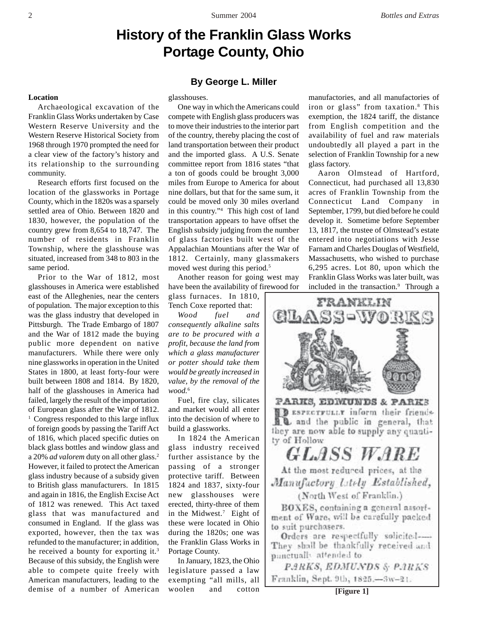# **History of the Franklin Glass Works Portage County, Ohio**

#### **Location**

Archaeological excavation of the Franklin Glass Works undertaken by Case Western Reserve University and the Western Reserve Historical Society from 1968 through 1970 prompted the need for a clear view of the factory's history and its relationship to the surrounding community.

Research efforts first focused on the location of the glassworks in Portage County, which in the 1820s was a sparsely settled area of Ohio. Between 1820 and 1830, however, the population of the country grew from 8,654 to 18,747. The number of residents in Franklin Township, where the glasshouse was situated, increased from 348 to 803 in the same period.

Prior to the War of 1812, most glasshouses in America were established east of the Alleghenies, near the centers of population. The major exception to this was the glass industry that developed in Pittsburgh. The Trade Embargo of 1807 and the War of 1812 made the buying public more dependent on native manufacturers. While there were only nine glassworks in operation in the United States in 1800, at least forty-four were built between 1808 and 1814. By 1820, half of the glasshouses in America had failed, largely the result of the importation of European glass after the War of 1812. <sup>1</sup> Congress responded to this large influx of foreign goods by passing the Tariff Act of 1816, which placed specific duties on black glass bottles and window glass and a 20% *ad valorem* duty on all other glass.2 However, it failed to protect the American glass industry because of a subsidy given to British glass manufacturers. In 1815 and again in 1816, the English Excise Act of 1812 was renewed. This Act taxed glass that was manufactured and consumed in England. If the glass was exported, however, then the tax was refunded to the manufacturer; in addition, he received a bounty for exporting it.<sup>3</sup> Because of this subsidy, the English were able to compete quite freely with American manufacturers, leading to the demise of a number of American

## **By George L. Miller**

glasshouses.

One way in which the Americans could compete with English glass producers was to move their industries to the interior part of the country, thereby placing the cost of land transportation between their product and the imported glass. A U.S. Senate committee report from 1816 states "that a ton of goods could be brought 3,000 miles from Europe to America for about nine dollars, but that for the same sum, it could be moved only 30 miles overland in this country."4 This high cost of land transportation appears to have offset the English subsidy judging from the number of glass factories built west of the Appalachian Mountians after the War of 1812. Certainly, many glassmakers moved west during this period.<sup>5</sup>

Another reason for going west may have been the availability of firewood for

glass furnaces. In 1810, Tench Coxe reported that:

*Wood fuel and consequently alkaline salts are to be procured with a profit, because the land from which a glass manufacturer or potter should take them would be greatly increased in value, by the removal of the wood.*<sup>6</sup>

Fuel, fire clay, silicates and market would all enter into the decision of where to build a glassworks.

In 1824 the American glass industry received further assistance by the passing of a stronger protective tariff. Between 1824 and 1837, sixty-four new glasshouses were erected, thirty-three of them in the Midwest.7 Eight of these were located in Ohio during the 1820s; one was the Franklin Glass Works in Portage County.

In January, 1823, the Ohio legislature passed a law exempting "all mills, all woolen and cotton manufactories, and all manufactories of iron or glass" from taxation.8 This exemption, the 1824 tariff, the distance from English competition and the availability of fuel and raw materials undoubtedly all played a part in the selection of Franklin Township for a new glass factory.

Aaron Olmstead of Hartford, Connecticut, had purchased all 13,830 acres of Franklin Township from the Connecticut Land Company in September, 1799, but died before he could develop it. Sometime before September 13, 1817, the trustee of Olmstead's estate entered into negotiations with Jesse Farnam and Charles Douglas of Westfield, Massachusetts, who wished to purchase 6,295 acres. Lot 80, upon which the Franklin Glass Works was later built, was included in the transaction.<sup>9</sup> Through a



They shall be thankfully received and panctually attended to

PARKS, EDMUNDS & PARKS Franklin, Sept. 9th, 1825.—3w-21.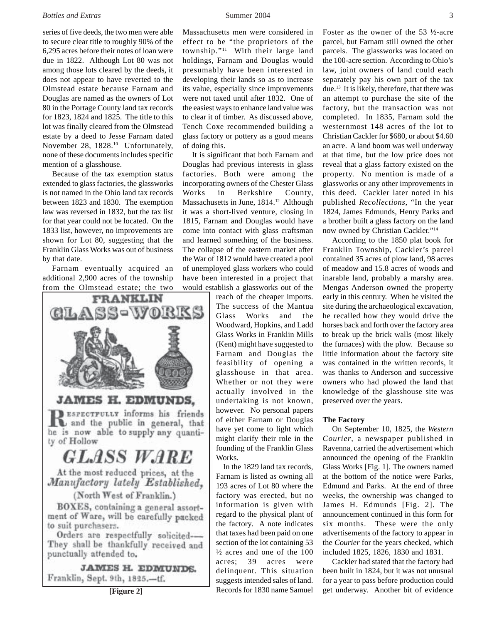### *Bottles and Extras* 3 **3 Summer 2004** 3

series of five deeds, the two men were able to secure clear title to roughly 90% of the 6,295 acres before their notes of loan were due in 1822. Although Lot 80 was not among those lots cleared by the deeds, it does not appear to have reverted to the Olmstead estate because Farnam and Douglas are named as the owners of Lot 80 in the Portage County land tax records for 1823, 1824 and 1825. The title to this lot was finally cleared from the Olmstead estate by a deed to Jesse Farnam dated November 28, 1828.<sup>10</sup> Unfortunately, none of these documents includes specific mention of a glasshouse.

Because of the tax exemption status extended to glass factories, the glassworks is not named in the Ohio land tax records between 1823 and 1830. The exemption law was reversed in 1832, but the tax list for that year could not be located. On the 1833 list, however, no improvements are shown for Lot 80, suggesting that the Franklin Glass Works was out of business by that date.

Farnam eventually acquired an additional 2,900 acres of the township from the Olmstead estate; the two



Massachusetts men were considered in effect to be "the proprietors of the township."11 With their large land holdings, Farnam and Douglas would presumably have been interested in developing their lands so as to increase its value, especially since improvements were not taxed until after 1832. One of the easiest ways to enhance land value was to clear it of timber. As discussed above, Tench Coxe recommended building a glass factory or pottery as a good means of doing this.

It is significant that both Farnam and Douglas had previous interests in glass factories. Both were among the incorporating owners of the Chester Glass Works in Berkshire County, Massachusetts in June, 1814.<sup>12</sup> Although it was a short-lived venture, closing in 1815, Farnam and Douglas would have come into contact with glass craftsman and learned something of the business. The collapse of the eastern market after the War of 1812 would have created a pool of unemployed glass workers who could have been interested in a project that would establish a glassworks out of the

reach of the cheaper imports. The success of the Mantua Glass Works and the Woodward, Hopkins, and Ladd Glass Works in Franklin Mills (Kent) might have suggested to Farnam and Douglas the feasibility of opening a glasshouse in that area. Whether or not they were actually involved in the undertaking is not known, however. No personal papers of either Farnam or Douglas have yet come to light which might clarify their role in the founding of the Franklin Glass Works.

 In the 1829 land tax records, Farnam is listed as owning all 193 acres of Lot 80 where the factory was erected, but no information is given with regard to the physical plant of the factory. A note indicates that taxes had been paid on one section of the lot containing 53 ½ acres and one of the 100 acres; 39 acres were delinquent. This situation suggests intended sales of land. Records for 1830 name Samuel Foster as the owner of the 53 ½-acre parcel, but Farnam still owned the other parcels. The glassworks was located on the 100-acre section. According to Ohio's law, joint owners of land could each separately pay his own part of the tax due.13 It is likely, therefore, that there was an attempt to purchase the site of the factory, but the transaction was not completed. In 1835, Farnam sold the westernmost 148 acres of the lot to Christian Cackler for \$680, or about \$4.60 an acre. A land boom was well underway at that time, but the low price does not reveal that a glass factory existed on the property. No mention is made of a glassworks or any other improvements in this deed. Cackler later noted in his published *Recollections*, "In the year 1824, James Edmunds, Henry Parks and a brother built a glass factory on the land now owned by Christian Cackler."14

According to the 1850 plat book for Franklin Township, Cackler's parcel contained 35 acres of plow land, 98 acres of meadow and 15.8 acres of woods and inarable land, probably a marshy area. Mengas Anderson owned the property early in this century. When he visited the site during the archaeological excavation, he recalled how they would drive the horses back and forth over the factory area to break up the brick walls (most likely the furnaces) with the plow. Because so little information about the factory site was contained in the written records, it was thanks to Anderson and successive owners who had plowed the land that knowledge of the glasshouse site was preserved over the years.

## **The Factory**

On September 10, 1825, the *Western Courier*, a newspaper published in Ravenna, carried the advertisement which announced the opening of the Franklin Glass Works [Fig. 1]. The owners named at the bottom of the notice were Parks, Edmund and Parks. At the end of three weeks, the ownership was changed to James H. Edmunds [Fig. 2]. The announcement continued in this form for six months. These were the only advertisements of the factory to appear in the *Courier* for the years checked, which included 1825, 1826, 1830 and 1831.

Cackler had stated that the factory had been built in 1824, but it was not unusual for a year to pass before production could **[Figure 2]** Records for 1830 name Samuel get underway. Another bit of evidence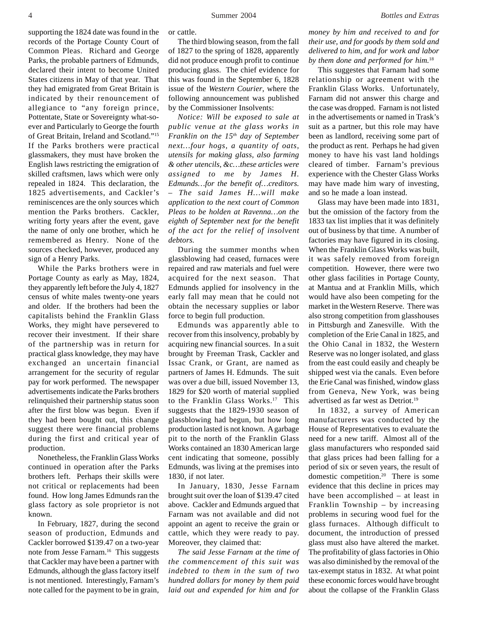supporting the 1824 date was found in the records of the Portage County Court of Common Pleas. Richard and George Parks, the probable partners of Edmunds, declared their intent to become United States citizens in May of that year. That they had emigrated from Great Britain is indicated by their renouncement of allegiance to "any foreign prince, Pottentate, State or Sovereignty what-soever and Particularly to George the fourth of Great Britain, Ireland and Scotland."15 If the Parks brothers were practical glassmakers, they must have broken the English laws restricting the emigration of skilled craftsmen, laws which were only repealed in 1824. This declaration, the 1825 advertisements, and Cackler's reminiscences are the only sources which mention the Parks brothers. Cackler, writing forty years after the event, gave the name of only one brother, which he remembered as Henry. None of the sources checked, however, produced any sign of a Henry Parks.

While the Parks brothers were in Portage County as early as May, 1824, they apparently left before the July 4, 1827 census of white males twenty-one years and older. If the brothers had been the capitalists behind the Franklin Glass Works, they might have persevered to recover their investment. If their share of the partnership was in return for practical glass knowledge, they may have exchanged an uncertain financial arrangement for the security of regular pay for work performed. The newspaper advertisements indicate the Parks brothers relinquished their partnership status soon after the first blow was begun. Even if they had been bought out, this change suggest there were financial problems during the first and critical year of production.

Nonetheless, the Franklin Glass Works continued in operation after the Parks brothers left. Perhaps their skills were not critical or replacements had been found. How long James Edmunds ran the glass factory as sole proprietor is not known.

In February, 1827, during the second season of production, Edmunds and Cackler borrowed \$139.47 on a two-year note from Jesse Farnam.16 This suggests that Cackler may have been a partner with Edmunds, although the glass factory itself is not mentioned. Interestingly, Farnam's note called for the payment to be in grain,

or cattle.

The third blowing season, from the fall of 1827 to the spring of 1828, apparently did not produce enough profit to continue producing glass. The chief evidence for this was found in the September 6, 1828 issue of the *Western Courier*, where the following announcement was published by the Commissioner Insolvents:

*Notice: Will be exposed to sale at public venue at the glass works in Franklin on the 15th day of September next…four hogs, a quantity of oats, utensils for making glass, also farming & other utencils, &c…these articles were assigned to me by James H. Edmunds…for the benefit of…creditors. – The said James H…will make application to the next court of Common Pleas to be holden at Ravenna…on the eighth of September next for the benefit of the act for the relief of insolvent debtors.*

During the summer months when glassblowing had ceased, furnaces were repaired and raw materials and fuel were acquired for the next season. That Edmunds applied for insolvency in the early fall may mean that he could not obtain the necessary supplies or labor force to begin full production.

Edmunds was apparently able to recover from this insolvency, probably by acquiring new financial sources. In a suit brought by Freeman Trask, Cackler and Issac Crank, or Grant, are named as partners of James H. Edmunds. The suit was over a due bill, issued November 13, 1829 for \$20 worth of material supplied to the Franklin Glass Works.17 This suggests that the 1829-1930 season of glassblowing had begun, but how long production lasted is not known. A garbage pit to the north of the Franklin Glass Works contained an 1830 American large cent indicating that someone, possibly Edmunds, was living at the premises into 1830, if not later.

In January, 1830, Jesse Farnam brought suit over the loan of \$139.47 cited above. Cackler and Edmunds argued that Farnam was not available and did not appoint an agent to receive the grain or cattle, which they were ready to pay. Moreover, they claimed that:

*The said Jesse Farnam at the time of the commencement of this suit was indebted to them in the sum of two hundred dollars for money by them paid laid out and expended for him and for* *money by him and received to and for their use, and for goods by them sold and delivered to him, and for work and labor by them done and performed for him.*<sup>18</sup>

This suggestes that Farnam had some relationship or agreement with the Franklin Glass Works. Unfortunately, Farnam did not answer this charge and the case was dropped. Farnam is not listed in the advertisements or named in Trask's suit as a partner, but this role may have been as landlord, receiving some part of the product as rent. Perhaps he had given money to have his vast land holdings cleared of timber. Farnam's previous experience with the Chester Glass Works may have made him wary of investing, and so he made a loan instead.

Glass may have been made into 1831, but the omission of the factory from the 1833 tax list implies that it was definitely out of business by that time. A number of factories may have figured in its closing. When the Franklin Glass Works was built, it was safely removed from foreign competition. However, there were two other glass facilities in Portage County, at Mantua and at Franklin Mills, which would have also been competing for the market in the Western Reserve. There was also strong competition from glasshouses in Pittsburgh and Zanesville. With the completion of the Erie Canal in 1825, and the Ohio Canal in 1832, the Western Reserve was no longer isolated, and glass from the east could easily and cheaply be shipped west via the canals. Even before the Erie Canal was finished, window glass from Geneva, New York, was being advertised as far west as Detriot.19

In 1832, a survey of American manufacturers was conducted by the House of Representatives to evaluate the need for a new tariff. Almost all of the glass manufacturers who responded said that glass prices had been falling for a period of six or seven years, the result of domestic competition.20 There is some evidence that this decline in prices may have been accomplished – at least in Franklin Township – by increasing problems in securing wood fuel for the glass furnaces. Although difficult to document, the introduction of pressed glass must also have altered the market. The profitability of glass factories in Ohio was also diminished by the removal of the tax-exempt status in 1832. At what point these economic forces would have brought about the collapse of the Franklin Glass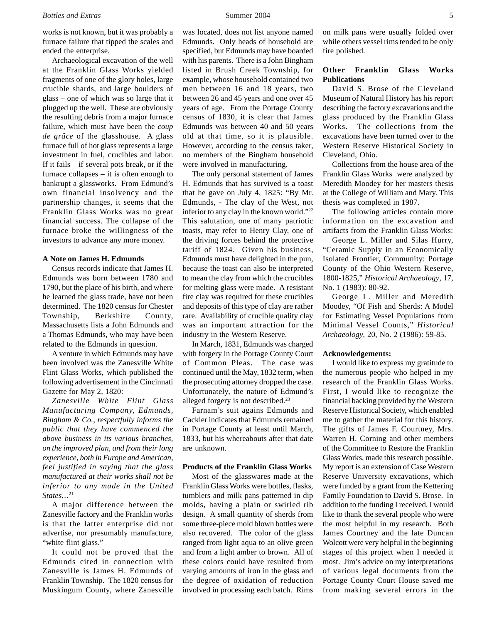works is not known, but it was probably a furnace failure that tipped the scales and ended the enterprise.

Archaeological excavation of the well at the Franklin Glass Works yielded fragments of one of the glory holes, large crucible shards, and large boulders of glass – one of which was so large that it plugged up the well. These are obviously the resulting debris from a major furnace failure, which must have been the *coup de grâce* of the glasshouse. A glass furnace full of hot glass represents a large investment in fuel, crucibles and labor. If it fails – if several pots break, or if the furnace collapses – it is often enough to bankrupt a glassworks. From Edmund's own financial insolvency and the partnership changes, it seems that the Franklin Glass Works was no great financial success. The collapse of the furnace broke the willingness of the investors to advance any more money.

## **A Note on James H. Edmunds**

Census records indicate that James H. Edmunds was born between 1780 and 1790, but the place of his birth, and where he learned the glass trade, have not been determined. The 1820 census for Chester Township, Berkshire County, Massachusetts lists a John Edmunds and a Thomas Edmunds, who may have been related to the Edmunds in question.

A venture in which Edmunds may have been involved was the Zanesville White Flint Glass Works, which published the following advertisement in the Cincinnati Gazette for May 2, 1820:

*Zanesville White Flint Glass Manufacturing Company, Edmunds, Bingham & Co., respectfully informs the public that they have commenced the above business in its various branches, on the improved plan, and from their long experience, both in Europe and American, feel justified in saying that the glass manufactured at their works shall not be inferior to any made in the United States…*<sup>21</sup>

A major difference between the Zanesville factory and the Franklin works is that the latter enterprise did not advertise, nor presumably manufacture, "white flint glass."

It could not be proved that the Edmunds cited in connection with Zanesville is James H. Edmunds of Franklin Township. The 1820 census for Muskingum County, where Zanesville was located, does not list anyone named Edmunds. Only heads of household are specified, but Edmunds may have boarded with his parents. There is a John Bingham listed in Brush Creek Township, for example, whose household contained two men between 16 and 18 years, two between 26 and 45 years and one over 45 years of age. From the Portage County census of 1830, it is clear that James Edmunds was between 40 and 50 years old at that time, so it is plausible. However, according to the census taker, no members of the Bingham household were involved in manufacturing.

The only personal statement of James H. Edmunds that has survived is a toast that he gave on July 4, 1825: "By Mr. Edmunds, - The clay of the West, not inferior to any clay in the known world."22 This salutation, one of many patriotic toasts, may refer to Henry Clay, one of the driving forces behind the protective tariff of 1824. Given his business, Edmunds must have delighted in the pun, because the toast can also be interpreted to mean the clay from which the crucibles for melting glass were made. A resistant fire clay was required for these crucibles and deposits of this type of clay are rather rare. Availability of crucible quality clay was an important attraction for the industry in the Western Reserve.

In March, 1831, Edmunds was charged with forgery in the Portage County Court of Common Pleas. The case was continued until the May, 1832 term, when the prosecuting attorney dropped the case. Unfortunately, the nature of Edmund's alleged forgery is not described.23

Farnam's suit agains Edmunds and Cackler indicates that Edmunds remained in Portage County at least until March, 1833, but his whereabouts after that date are unknown.

#### **Products of the Franklin Glass Works**

Most of the glasswares made at the Franklin Glass Works were bottles, flasks, tumblers and milk pans patterned in dip molds, having a plain or swirled rib design. A small quantity of sherds from some three-piece mold blown bottles were also recovered. The color of the glass ranged from light aqua to an olive green and from a light amber to brown. All of these colors could have resulted from varying amounts of iron in the glass and the degree of oxidation of reduction involved in processing each batch. Rims on milk pans were usually folded over while others vessel rims tended to be only fire polished.

## **Other Franklin Glass Works Publications**

David S. Brose of the Cleveland Museum of Natural History has his report describing the factory excavations and the glass produced by the Franklin Glass Works. The collections from the excavations have been turned over to the Western Reserve Historical Society in Cleveland, Ohio.

Collections from the house area of the Franklin Glass Works were analyzed by Meredith Moodey for her masters thesis at the College of William and Mary. This thesis was completed in 1987.

The following articles contain more information on the excavation and artifacts from the Franklin Glass Works:

George L. Miller and Silas Hurry, "Ceramic Supply in an Economically Isolated Frontier, Community: Portage County of the Ohio Western Reserve, 1800-1825," *Historical Archaeology*, 17, No. 1 (1983): 80-92.

George L. Miller and Meredith Moodey, "Of Fish and Sherds: A Model for Estimating Vessel Populations from Minimal Vessel Counts," *Historical Archaeology*, 20, No. 2 (1986): 59-85.

#### **Acknowledgements:**

I would like to express my gratitude to the numerous people who helped in my research of the Franklin Glass Works. First, I would like to recognize the financial backing provided by the Western Reserve Historical Society, which enabled me to gather the material for this history. The gifts of James F. Courtney, Mrs. Warren H. Corning and other members of the Committee to Restore the Franklin Glass Works, made this research possible. My report is an extension of Case Western Reserve University excavations, which were funded by a grant from the Kettering Family Foundation to David S. Brose. In addition to the funding I received, I would like to thank the several people who were the most helpful in my research. Both James Courtney and the late Duncan Wolcott were very helpful in the beginning stages of this project when I needed it most. Jim's advice on my interpretations of various legal documents from the Portage County Court House saved me from making several errors in the